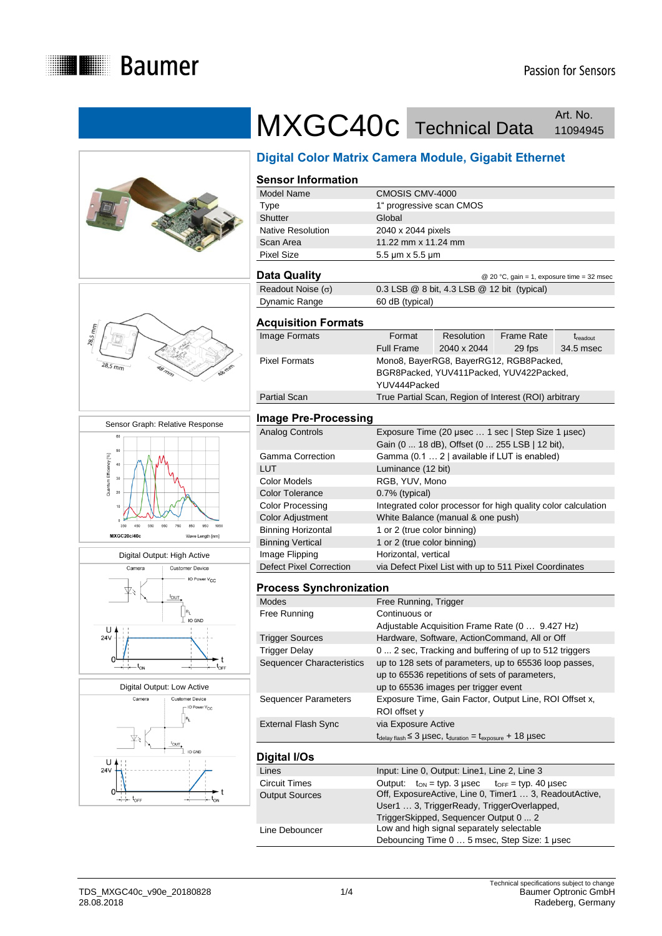









# MXGC40c Technical Data **Art. No.** Art. No.

# **Digital Color Matrix Camera Module, Gigabit Ethernet**

| <b>Sensor Information</b>                                                   |                                                                                                                    |                                                                                    |                                                        |                      |  |  |
|-----------------------------------------------------------------------------|--------------------------------------------------------------------------------------------------------------------|------------------------------------------------------------------------------------|--------------------------------------------------------|----------------------|--|--|
| Model Name                                                                  | CMOSIS CMV-4000                                                                                                    |                                                                                    |                                                        |                      |  |  |
| <b>Type</b>                                                                 |                                                                                                                    | 1" progressive scan CMOS                                                           |                                                        |                      |  |  |
| Shutter<br>Native Resolution                                                | Global                                                                                                             |                                                                                    |                                                        |                      |  |  |
|                                                                             | 2040 x 2044 pixels                                                                                                 |                                                                                    |                                                        |                      |  |  |
| Scan Area                                                                   | 11.22 mm x 11.24 mm                                                                                                |                                                                                    |                                                        |                      |  |  |
| <b>Pixel Size</b>                                                           | 5.5 µm x 5.5 µm                                                                                                    |                                                                                    |                                                        |                      |  |  |
| <b>Data Quality</b>                                                         |                                                                                                                    |                                                                                    | @ 20 °C, gain = 1, exposure time = 32 msec             |                      |  |  |
| Readout Noise $(\sigma)$                                                    | 0.3 LSB @ 8 bit, 4.3 LSB @ 12 bit (typical)                                                                        |                                                                                    |                                                        |                      |  |  |
| Dynamic Range                                                               | 60 dB (typical)                                                                                                    |                                                                                    |                                                        |                      |  |  |
| <b>Acquisition Formats</b>                                                  |                                                                                                                    |                                                                                    |                                                        |                      |  |  |
| Image Formats                                                               | Format                                                                                                             | <b>Resolution</b>                                                                  | <b>Frame Rate</b>                                      | $t_{\text{readout}}$ |  |  |
|                                                                             | <b>Full Frame</b>                                                                                                  | 2040 x 2044                                                                        | 29 fps                                                 | 34.5 msec            |  |  |
| <b>Pixel Formats</b>                                                        |                                                                                                                    |                                                                                    | Mono8, BayerRG8, BayerRG12, RGB8Packed,                |                      |  |  |
|                                                                             | BGR8Packed, YUV411Packed, YUV422Packed,                                                                            |                                                                                    |                                                        |                      |  |  |
|                                                                             | YUV444Packed                                                                                                       |                                                                                    |                                                        |                      |  |  |
| <b>Partial Scan</b>                                                         | True Partial Scan, Region of Interest (ROI) arbitrary                                                              |                                                                                    |                                                        |                      |  |  |
| <b>Image Pre-Processing</b>                                                 |                                                                                                                    |                                                                                    |                                                        |                      |  |  |
| <b>Analog Controls</b><br>Exposure Time (20 µsec  1 sec   Step Size 1 µsec) |                                                                                                                    |                                                                                    |                                                        |                      |  |  |
|                                                                             | Gain (0  18 dB), Offset (0  255 LSB   12 bit),                                                                     |                                                                                    |                                                        |                      |  |  |
| <b>Gamma Correction</b>                                                     | Gamma (0.1  2   available if LUT is enabled)                                                                       |                                                                                    |                                                        |                      |  |  |
| <b>LUT</b>                                                                  | Luminance (12 bit)                                                                                                 |                                                                                    |                                                        |                      |  |  |
| <b>Color Models</b>                                                         | RGB, YUV, Mono                                                                                                     |                                                                                    |                                                        |                      |  |  |
| <b>Color Tolerance</b>                                                      | 0.7% (typical)                                                                                                     |                                                                                    |                                                        |                      |  |  |
| <b>Color Processing</b>                                                     | Integrated color processor for high quality color calculation                                                      |                                                                                    |                                                        |                      |  |  |
| <b>Color Adjustment</b>                                                     | White Balance (manual & one push)                                                                                  |                                                                                    |                                                        |                      |  |  |
| <b>Binning Horizontal</b>                                                   | 1 or 2 (true color binning)                                                                                        |                                                                                    |                                                        |                      |  |  |
| <b>Binning Vertical</b>                                                     | 1 or 2 (true color binning)                                                                                        |                                                                                    |                                                        |                      |  |  |
| Image Flipping                                                              | Horizontal, vertical                                                                                               |                                                                                    |                                                        |                      |  |  |
| <b>Defect Pixel Correction</b>                                              | via Defect Pixel List with up to 511 Pixel Coordinates                                                             |                                                                                    |                                                        |                      |  |  |
|                                                                             |                                                                                                                    |                                                                                    |                                                        |                      |  |  |
| <b>Process Synchronization</b><br><b>Modes</b>                              |                                                                                                                    |                                                                                    |                                                        |                      |  |  |
| Free Running                                                                | Free Running, Trigger<br>Continuous or                                                                             |                                                                                    |                                                        |                      |  |  |
|                                                                             |                                                                                                                    |                                                                                    |                                                        |                      |  |  |
| <b>Trigger Sources</b>                                                      | Adjustable Acquisition Frame Rate (0  9.427 Hz)<br>Hardware, Software, ActionCommand, All or Off                   |                                                                                    |                                                        |                      |  |  |
| <b>Trigger Delay</b>                                                        |                                                                                                                    |                                                                                    |                                                        |                      |  |  |
| <b>Sequencer Characteristics</b>                                            | 0  2 sec, Tracking and buffering of up to 512 triggers<br>up to 128 sets of parameters, up to 65536 loop passes,   |                                                                                    |                                                        |                      |  |  |
|                                                                             |                                                                                                                    |                                                                                    | up to 65536 repetitions of sets of parameters,         |                      |  |  |
|                                                                             |                                                                                                                    | up to 65536 images per trigger event                                               |                                                        |                      |  |  |
|                                                                             |                                                                                                                    |                                                                                    | Exposure Time, Gain Factor, Output Line, ROI Offset x, |                      |  |  |
| <b>Sequencer Parameters</b>                                                 | ROI offset y                                                                                                       |                                                                                    |                                                        |                      |  |  |
|                                                                             |                                                                                                                    |                                                                                    |                                                        |                      |  |  |
| <b>External Flash Sync</b>                                                  | via Exposure Active<br>$t_{\text{delay flash}} \leq 3$ µsec, $t_{\text{duration}} = t_{\text{exposure}} + 18$ µsec |                                                                                    |                                                        |                      |  |  |
|                                                                             |                                                                                                                    |                                                                                    |                                                        |                      |  |  |
| <b>Digital I/Os</b>                                                         |                                                                                                                    |                                                                                    |                                                        |                      |  |  |
| Lines                                                                       | Input: Line 0, Output: Line1, Line 2, Line 3                                                                       |                                                                                    |                                                        |                      |  |  |
| <b>Circuit Times</b>                                                        | Output:<br>$t_{ON}$ = typ. 3 µsec<br>$t_{\text{OFF}}$ = typ. 40 µsec                                               |                                                                                    |                                                        |                      |  |  |
| <b>Output Sources</b>                                                       | Off, ExposureActive, Line 0, Timer1  3, ReadoutActive,<br>User1  3, TriggerReady, TriggerOverlapped,               |                                                                                    |                                                        |                      |  |  |
|                                                                             |                                                                                                                    |                                                                                    |                                                        |                      |  |  |
| Line Debouncer                                                              |                                                                                                                    | TriggerSkipped, Sequencer Output 0  2<br>Low and high signal separately selectable |                                                        |                      |  |  |
|                                                                             |                                                                                                                    | Debouncing Time 0  5 msec, Step Size: 1 µsec                                       |                                                        |                      |  |  |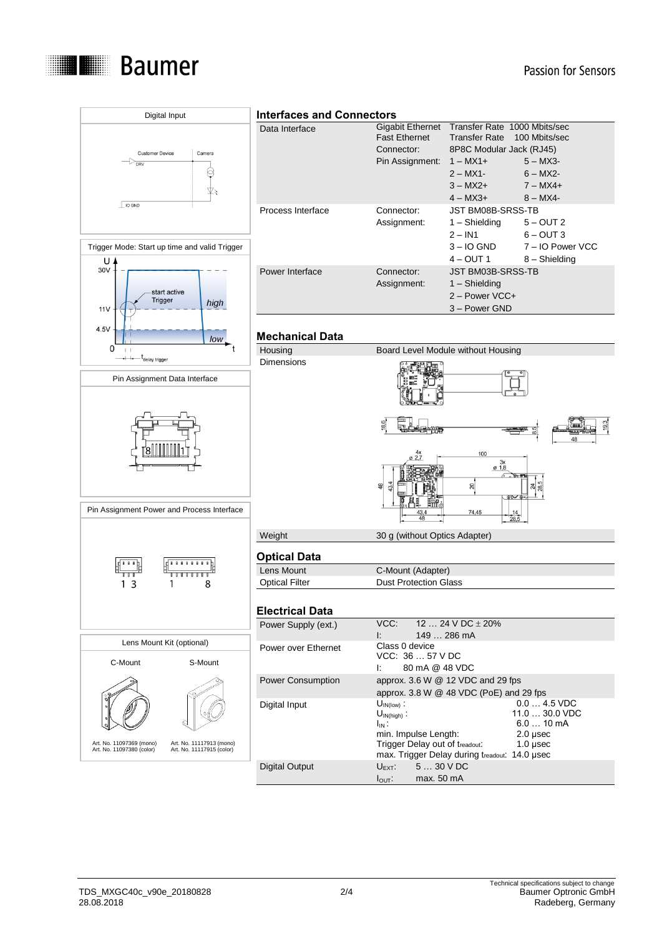

#### Passion for Sensors

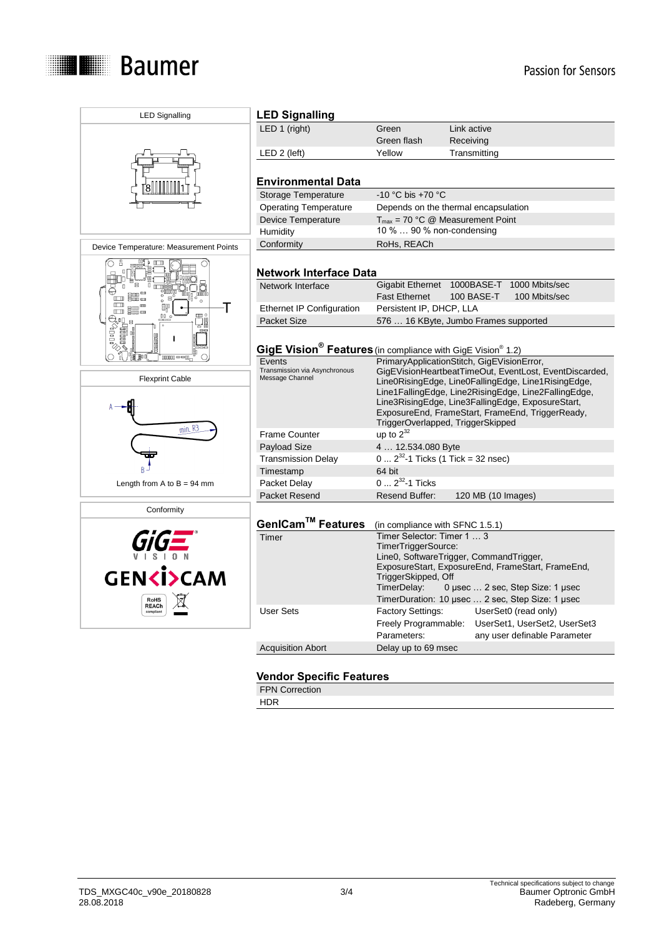

| <b>LED Signalling</b>                                      | <b>LED Signalling</b>                                                               |                                                                                                                                                                        |                                                                                                           |  |  |
|------------------------------------------------------------|-------------------------------------------------------------------------------------|------------------------------------------------------------------------------------------------------------------------------------------------------------------------|-----------------------------------------------------------------------------------------------------------|--|--|
|                                                            | LED 1 (right)                                                                       | Green                                                                                                                                                                  | Link active                                                                                               |  |  |
|                                                            |                                                                                     | Green flash                                                                                                                                                            | Receiving                                                                                                 |  |  |
|                                                            | $LED 2$ (left)                                                                      | Yellow                                                                                                                                                                 | Transmitting                                                                                              |  |  |
|                                                            |                                                                                     |                                                                                                                                                                        |                                                                                                           |  |  |
|                                                            | <b>Environmental Data</b>                                                           |                                                                                                                                                                        |                                                                                                           |  |  |
|                                                            | Storage Temperature                                                                 | -10 °C bis +70 °C                                                                                                                                                      |                                                                                                           |  |  |
|                                                            | <b>Operating Temperature</b>                                                        | Depends on the thermal encapsulation                                                                                                                                   |                                                                                                           |  |  |
|                                                            | Device Temperature                                                                  | $T_{max}$ = 70 °C @ Measurement Point                                                                                                                                  |                                                                                                           |  |  |
|                                                            | Humidity                                                                            | 10 %  90 % non-condensing                                                                                                                                              |                                                                                                           |  |  |
| Device Temperature: Measurement Points                     | Conformity                                                                          | RoHs, REACh                                                                                                                                                            |                                                                                                           |  |  |
|                                                            |                                                                                     |                                                                                                                                                                        |                                                                                                           |  |  |
|                                                            | <b>Network Interface Data</b>                                                       |                                                                                                                                                                        |                                                                                                           |  |  |
|                                                            | Network Interface                                                                   |                                                                                                                                                                        | Gigabit Ethernet 1000BASE-T 1000 Mbits/sec                                                                |  |  |
| $\overline{\mathbb{B}}\mathbb{B}^{\mathfrak{m}}$<br>$\Box$ |                                                                                     | <b>Fast Ethernet</b>                                                                                                                                                   | 100 BASE-T<br>100 Mbits/sec                                                                               |  |  |
| $\Box$<br>⊞<br>郇<br>Т                                      | Ethernet IP Configuration                                                           | Persistent IP, DHCP, LLA                                                                                                                                               |                                                                                                           |  |  |
| $00-1$<br>(III)<br>⊕ٍن<br>$\equiv$                         | <b>Packet Size</b>                                                                  | 576  16 KByte, Jumbo Frames supported                                                                                                                                  |                                                                                                           |  |  |
|                                                            |                                                                                     |                                                                                                                                                                        |                                                                                                           |  |  |
| <b><i>Political</i></b>                                    | GigE Vision <sup>®</sup> Features (in compliance with GigE Vision <sup>®</sup> 1.2) |                                                                                                                                                                        |                                                                                                           |  |  |
| Ten ol<br>$000000 = -00$                                   | Events                                                                              | PrimaryApplicationStitch, GigEVisionError,                                                                                                                             |                                                                                                           |  |  |
|                                                            | Transmission via Asynchronous                                                       |                                                                                                                                                                        | GigEVisionHeartbeatTimeOut, EventLost, EventDiscarded,                                                    |  |  |
| <b>Flexprint Cable</b>                                     | Message Channel                                                                     |                                                                                                                                                                        | Line0RisingEdge, Line0FallingEdge, Line1RisingEdge,                                                       |  |  |
|                                                            |                                                                                     |                                                                                                                                                                        | Line1FallingEdge, Line2RisingEdge, Line2FallingEdge,<br>Line3RisingEdge, Line3FallingEdge, ExposureStart, |  |  |
|                                                            |                                                                                     |                                                                                                                                                                        | ExposureEnd, FrameStart, FrameEnd, TriggerReady,                                                          |  |  |
|                                                            |                                                                                     |                                                                                                                                                                        | TriggerOverlapped, TriggerSkipped                                                                         |  |  |
| $min$ . $R3$                                               | <b>Frame Counter</b>                                                                | up to $2^{32}$                                                                                                                                                         |                                                                                                           |  |  |
|                                                            | <b>Payload Size</b>                                                                 | 4  12.534.080 Byte                                                                                                                                                     |                                                                                                           |  |  |
|                                                            | <b>Transmission Delay</b>                                                           | $0 2^{32}$ -1 Ticks (1 Tick = 32 nsec)                                                                                                                                 |                                                                                                           |  |  |
|                                                            | Timestamp                                                                           | 64 bit                                                                                                                                                                 |                                                                                                           |  |  |
| Length from A to $B = 94$ mm                               | Packet Delay                                                                        |                                                                                                                                                                        | $0 \dots 2^{32}$ -1 Ticks                                                                                 |  |  |
|                                                            | <b>Packet Resend</b>                                                                | <b>Resend Buffer:</b>                                                                                                                                                  | 120 MB (10 Images)                                                                                        |  |  |
| Conformity                                                 |                                                                                     |                                                                                                                                                                        |                                                                                                           |  |  |
|                                                            | GenICam™ Features                                                                   | (in compliance with SFNC 1.5.1)                                                                                                                                        |                                                                                                           |  |  |
|                                                            | Timer                                                                               | Timer Selector: Timer 1  3                                                                                                                                             |                                                                                                           |  |  |
|                                                            |                                                                                     | TimerTriggerSource:                                                                                                                                                    |                                                                                                           |  |  |
|                                                            |                                                                                     | Line0, SoftwareTrigger, CommandTrigger,<br>ExposureStart, ExposureEnd, FrameStart, FrameEnd,<br>TriggerSkipped, Off<br>TimerDelay:<br>0 µsec  2 sec, Step Size: 1 µsec |                                                                                                           |  |  |
| <b>GENKISCAM</b><br><b>RoHS</b>                            |                                                                                     |                                                                                                                                                                        |                                                                                                           |  |  |
|                                                            |                                                                                     |                                                                                                                                                                        |                                                                                                           |  |  |
|                                                            |                                                                                     | TimerDuration: 10 µsec  2 sec, Step Size: 1 µsec                                                                                                                       |                                                                                                           |  |  |
| <b>REACh</b><br>compliant                                  | <b>User Sets</b>                                                                    | <b>Factory Settings:</b>                                                                                                                                               | UserSet0 (read only)                                                                                      |  |  |
|                                                            |                                                                                     | Freely Programmable:                                                                                                                                                   | UserSet1, UserSet2, UserSet3                                                                              |  |  |
|                                                            |                                                                                     | Parameters:                                                                                                                                                            | any user definable Parameter                                                                              |  |  |

### **Vendor Specific Features**

Acquisition Abort Delay up to 69 msec

FPN Correction

HDR